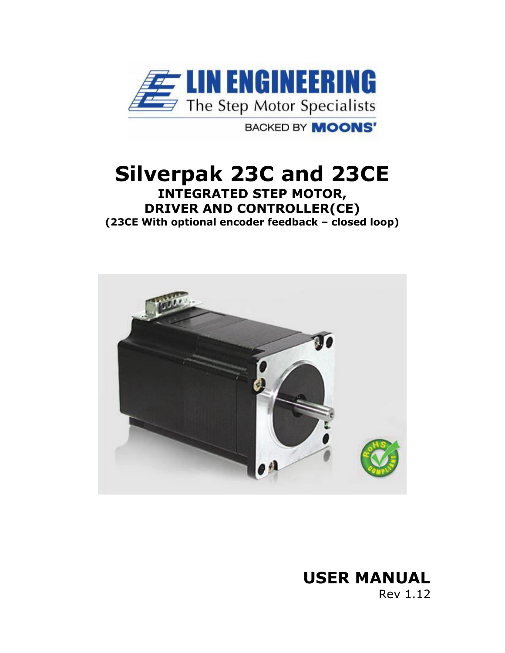

**BACKED BY MOONS'** 

## **Silverpak 23C and 23CE INTEGRATED STEP MOTOR, DRIVER AND CONTROLLER(CE)**

**(23CE With optional encoder feedback – closed loop)** 



# **USER MANUAL**

Rev 1.12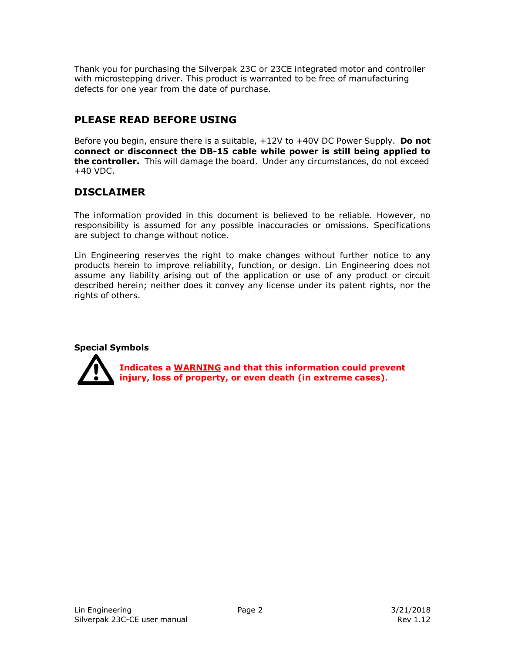Thank you for purchasing the Silverpak 23C or 23CE integrated motor and controller with microstepping driver. This product is warranted to be free of manufacturing defects for one year from the date of purchase.

### **PLEASE READ BEFORE USING**

Before you begin, ensure there is a suitable, +12V to +40V DC Power Supply. **Do not connect or disconnect the DB-15 cable while power is still being applied to the controller.** This will damage the board. Under any circumstances, do not exceed  $+40$  VDC.

### **DISCLAIMER**

The information provided in this document is believed to be reliable. However, no responsibility is assumed for any possible inaccuracies or omissions. Specifications are subject to change without notice.

Lin Engineering reserves the right to make changes without further notice to any products herein to improve reliability, function, or design. Lin Engineering does not assume any liability arising out of the application or use of any product or circuit described herein; neither does it convey any license under its patent rights, nor the rights of others.

#### **Special Symbols**



**Indicates a WARNING and that this information could prevent injury, loss of property, or even death (in extreme cases).**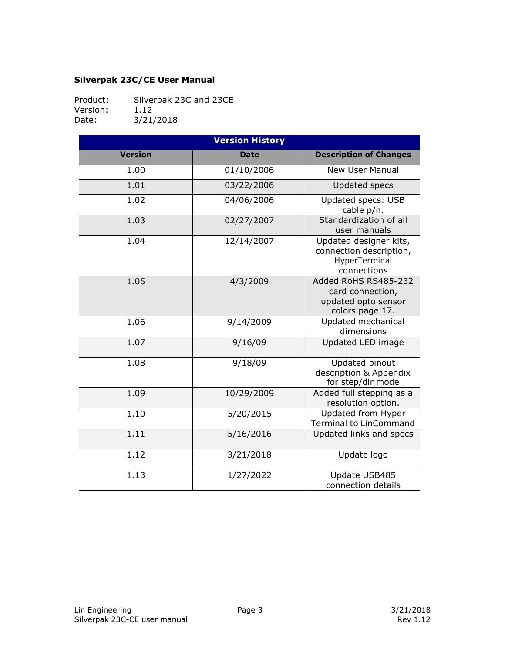#### **Silverpak 23C/CE User Manual**

Product: Silverpak 23C and 23CE<br>Version: 1.12 Version:<br>Date: 3/21/2018

|                | <b>Version History</b> |                                                                                    |
|----------------|------------------------|------------------------------------------------------------------------------------|
| <b>Version</b> | <b>Date</b>            | <b>Description of Changes</b>                                                      |
| 1.00           | 01/10/2006             | <b>New User Manual</b>                                                             |
| 1.01           | 03/22/2006             | <b>Updated specs</b>                                                               |
| 1.02           | 04/06/2006             | <b>Updated specs: USB</b><br>cable p/n.                                            |
| 1.03           | 02/27/2007             | Standardization of all<br>user manuals                                             |
| 1.04           | 12/14/2007             | Updated designer kits,<br>connection description,<br>HyperTerminal<br>connections  |
| 1.05           | 4/3/2009               | Added RoHS RS485-232<br>card connection,<br>updated opto sensor<br>colors page 17. |
| 1.06           | 9/14/2009              | Updated mechanical<br>dimensions                                                   |
| 1.07           | 9/16/09                | Updated LED image                                                                  |
| 1.08           | 9/18/09                | Updated pinout<br>description & Appendix<br>for step/dir mode                      |
| 1.09           | 10/29/2009             | Added full stepping as a<br>resolution option.                                     |
| 1.10           | 5/20/2015              | Updated from Hyper<br><b>Terminal to LinCommand</b>                                |
| 1.11           | 5/16/2016              | Updated links and specs                                                            |
| 1.12           | 3/21/2018              | Update logo                                                                        |
| 1.13           | 1/27/2022              | Update USB485<br>connection details                                                |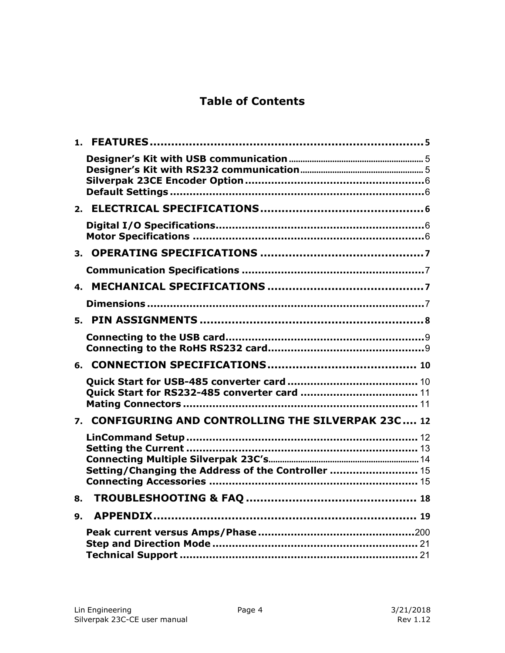### **Table of Contents**

| 4.                   |                                                     |
|----------------------|-----------------------------------------------------|
|                      |                                                     |
|                      |                                                     |
|                      |                                                     |
|                      |                                                     |
|                      |                                                     |
|                      | 7. CONFIGURING AND CONTROLLING THE SILVERPAK 23C 12 |
|                      | Setting/Changing the Address of the Controller  15  |
| 8.                   |                                                     |
| $\mathbf{q}_{\perp}$ |                                                     |
|                      |                                                     |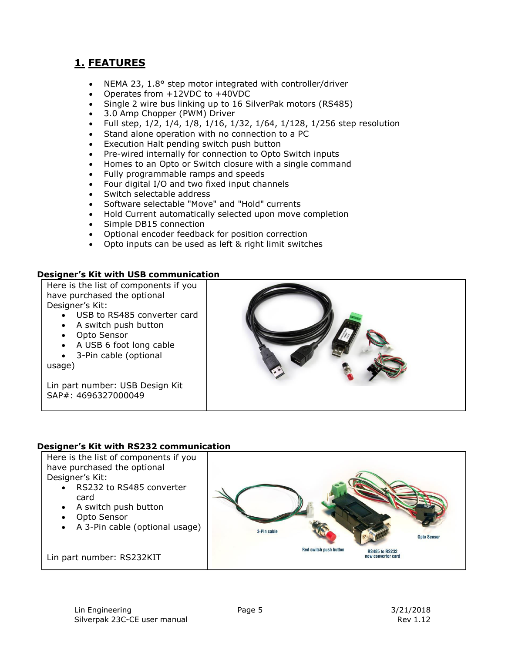### <span id="page-4-0"></span>**1. FEATURES**

- NEMA 23, 1.8° step motor integrated with controller/driver
- Operates from +12VDC to +40VDC
- Single 2 wire bus linking up to 16 SilverPak motors (RS485)
- 3.0 Amp Chopper (PWM) Driver
- Full step, 1/2, 1/4, 1/8, 1/16, 1/32, 1/64, 1/128, 1/256 step resolution
- Stand alone operation with no connection to a PC
- Execution Halt pending switch push button
- Pre-wired internally for connection to Opto Switch inputs
- Homes to an Opto or Switch closure with a single command
- Fully programmable ramps and speeds
- Four digital I/O and two fixed input channels
- Switch selectable address
- Software selectable "Move" and "Hold" currents
- Hold Current automatically selected upon move completion
- Simple DB15 connection
- Optional encoder feedback for position correction
- Opto inputs can be used as left & right limit switches

#### <span id="page-4-1"></span>**Designer's Kit with USB communication**

Here is the list of components if you have purchased the optional Designer's Kit:

- USB to RS485 converter card
- A switch push button
- Opto Sensor
- A USB 6 foot long cable
- 3-Pin cable (optional

usage)

Lin part number: USB Design Kit SAP#: 4696327000049



#### <span id="page-4-2"></span>**Designer's Kit with RS232 communication**

Here is the list of components if you have purchased the optional Designer's Kit:

- RS232 to RS485 converter card
- A switch push button
- Opto Sensor
- A 3-Pin cable (optional usage)

Lin part number: RS232KIT

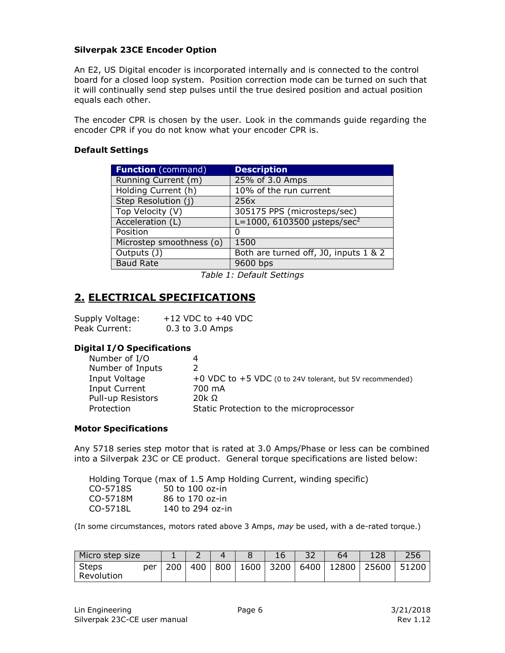#### <span id="page-5-0"></span>**Silverpak 23CE Encoder Option**

An E2, US Digital encoder is incorporated internally and is connected to the control board for a closed loop system. Position correction mode can be turned on such that it will continually send step pulses until the true desired position and actual position equals each other.

The encoder CPR is chosen by the user. Look in the commands guide regarding the encoder CPR if you do not know what your encoder CPR is.

#### <span id="page-5-1"></span>**Default Settings**

| <b>Description</b>                          |
|---------------------------------------------|
| 25% of 3.0 Amps                             |
| 10% of the run current                      |
| 256x                                        |
| 305175 PPS (microsteps/sec)                 |
| $L = 1000, 6103500$ µsteps/sec <sup>2</sup> |
| O                                           |
| 1500                                        |
| Both are turned off, J0, inputs 1 & 2       |
| 9600 bps                                    |
|                                             |

*Table 1: Default Settings* 

### <span id="page-5-2"></span>**2. ELECTRICAL SPECIFICATIONS**

| Supply Voltage: | $+12$ VDC to $+40$ VDC |
|-----------------|------------------------|
| Peak Current:   | 0.3 to 3.0 Amps        |

#### <span id="page-5-3"></span>**Digital I/O Specifications**

| Number of I/O     |                                                            |
|-------------------|------------------------------------------------------------|
| Number of Inputs  |                                                            |
| Input Voltage     | +0 VDC to $+5$ VDC (0 to 24V tolerant, but 5V recommended) |
| Input Current     | 700 mA                                                     |
| Pull-up Resistors | 20 $k$ $\Omega$                                            |
| Protection        | Static Protection to the microprocessor                    |

#### <span id="page-5-4"></span>**Motor Specifications**

Any 5718 series step motor that is rated at 3.0 Amps/Phase or less can be combined into a Silverpak 23C or CE product. General torque specifications are listed below:

| Holding Torque (max of 1.5 Amp Holding Current, winding specific) |                  |  |  |  |
|-------------------------------------------------------------------|------------------|--|--|--|
| CO-5718S                                                          | 50 to 100 oz-in  |  |  |  |
| CO-5718M                                                          | 86 to 170 oz-in  |  |  |  |
| CO-5718L                                                          | 140 to 294 oz-in |  |  |  |

(In some circumstances, motors rated above 3 Amps, *may* be used, with a de-rated torque.)

| Micro step size            |     |     |     |  |                            | 128   | $\n  CD$ |
|----------------------------|-----|-----|-----|--|----------------------------|-------|----------|
| Steps<br>per<br>Revolution | 200 | 400 | 800 |  | 1600   3200   6400   12800 | 25600 | 51200    |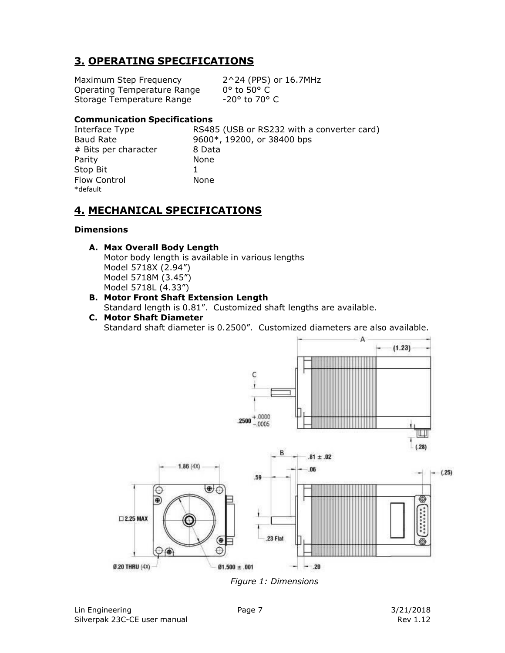### <span id="page-6-0"></span>**3. OPERATING SPECIFICATIONS**

Maximum Step Frequency 2^24 (PPS) or 16.7MHz Operating Temperature Range 0° to 50° C<br>Storage Temperature Range 50 -20° to 70° C Storage Temperature Range

#### <span id="page-6-1"></span>**Communication Specifications**

# Bits per character 8 Data Parity None Stop Bit 1 Flow Control **None** \*default

Interface Type RS485 (USB or RS232 with a converter card) Baud Rate 9600\*, 19200, or 38400 bps

### <span id="page-6-2"></span>**4. MECHANICAL SPECIFICATIONS**

#### <span id="page-6-3"></span>**Dimensions**

#### **A. Max Overall Body Length**

Motor body length is available in various lengths Model 5718X (2.94") Model 5718M (3.45") Model 5718L (4.33")

- **B. Motor Front Shaft Extension Length**  Standard length is 0.81". Customized shaft lengths are available.
- **C. Motor Shaft Diameter**  Standard shaft diameter is 0.2500". Customized diameters are also available.



*Figure 1: Dimensions*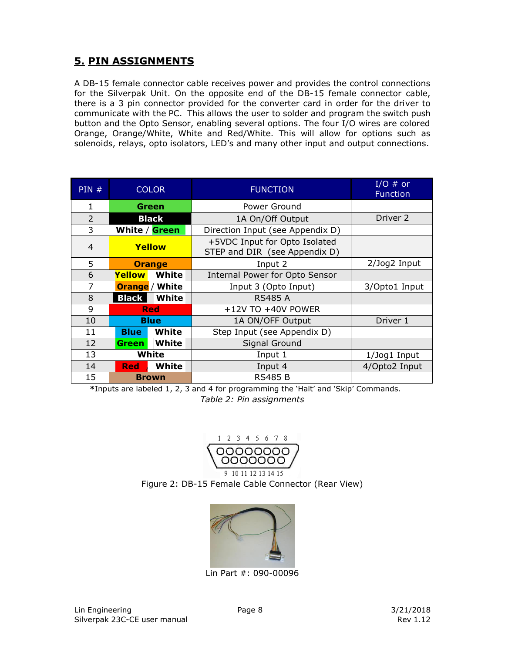### <span id="page-7-0"></span>**5. PIN ASSIGNMENTS**

A DB-15 female connector cable receives power and provides the control connections for the Silverpak Unit. On the opposite end of the DB-15 female connector cable, there is a 3 pin connector provided for the converter card in order for the driver to communicate with the PC. This allows the user to solder and program the switch push button and the Opto Sensor, enabling several options. The four I/O wires are colored Orange, Orange/White, White and Red/White. This will allow for options such as solenoids, relays, opto isolators, LED's and many other input and output connections.

| PIN#           |                            | <b>COLOR</b>          | <b>FUNCTION</b>                                                | I/O $#$ or<br><b>Function</b> |
|----------------|----------------------------|-----------------------|----------------------------------------------------------------|-------------------------------|
| 1              |                            | Power Ground<br>Green |                                                                |                               |
| $\overline{2}$ | <b>Black</b>               |                       | 1A On/Off Output                                               | Driver 2                      |
| 3              | White / Green              |                       | Direction Input (see Appendix D)                               |                               |
| $\overline{4}$ | Yellow                     |                       | +5VDC Input for Opto Isolated<br>STEP and DIR (see Appendix D) |                               |
| 5              |                            | <b>Orange</b>         | Input 2                                                        | $2$ /Jog $2$ Input            |
| 6              | <b>Yellow</b><br>White     |                       | <b>Internal Power for Opto Sensor</b>                          |                               |
| 7              | <b>Orange</b> / White      |                       | Input 3 (Opto Input)                                           | 3/Opto1 Input                 |
| 8              | White<br><b>Black</b>      |                       | <b>RS485 A</b>                                                 |                               |
| 9              |                            | <b>Red</b>            | +12V TO +40V POWER                                             |                               |
| 10             |                            | <b>Blue</b>           | 1A ON/OFF Output                                               | Driver 1                      |
| 11             | <b>Blue</b>                | White                 | Step Input (see Appendix D)                                    |                               |
| 12             | White<br><b>Green</b>      |                       | Signal Ground                                                  |                               |
| 13             | White                      |                       | Input 1                                                        | 1/Jog1 Input                  |
| 14             | <b>White</b><br><b>Red</b> |                       | Input 4                                                        | 4/Opto2 Input                 |
| 15             | <b>Brown</b>               |                       | <b>RS485 B</b>                                                 |                               |

**\***Inputs are labeled 1, 2, 3 and 4 for programming the 'Halt' and 'Skip' Commands. *Table 2: Pin assignments* 



0000000 9 10 11 12 13 14 15 Figure 2: DB-15 Female Cable Connector (Rear View)



Lin Part #: 090-00096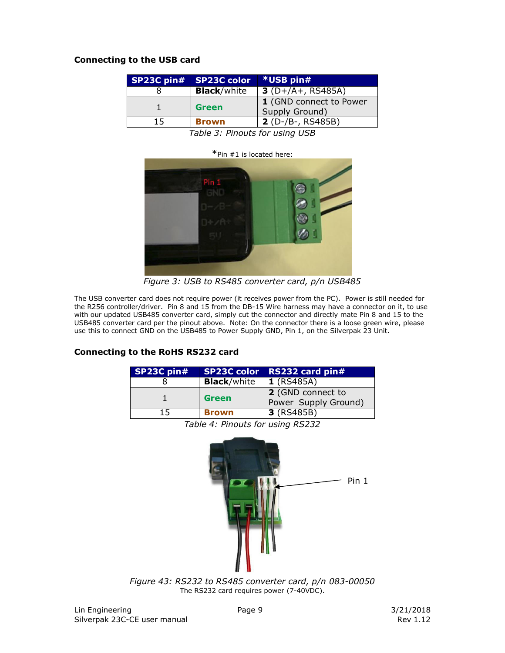#### <span id="page-8-0"></span>**Connecting to the USB card**

|     | SP23C pin# SP23C color | <b>*USB pin#</b>                          |
|-----|------------------------|-------------------------------------------|
|     | <b>Black/white</b>     | $3(D+/A+, RS485A)$                        |
|     | <b>Green</b>           | 1 (GND connect to Power<br>Supply Ground) |
| 15. | <b>Brown</b>           | $2(D-/B-, RS485B)$                        |

*Table 3: Pinouts for using USB*



*Figure 3: USB to RS485 converter card, p/n USB485* 

The USB converter card does not require power (it receives power from the PC). Power is still needed for the R256 controller/driver. Pin 8 and 15 from the DB-15 Wire harness may have a connector on it, to use with our updated USB485 converter card, simply cut the connector and directly mate Pin 8 and 15 to the USB485 converter card per the pinout above. Note: On the connector there is a loose green wire, please use this to connect GND on the USB485 to Power Supply GND, Pin 1, on the Silverpak 23 Unit.

#### <span id="page-8-1"></span>**Connecting to the RoHS RS232 card**

| SP23C pin#                       | <b>SP23C color</b> | RS232 card pin#      |  |
|----------------------------------|--------------------|----------------------|--|
|                                  | <b>Black/white</b> | <b>1</b> (RS485A)    |  |
| п.                               |                    | 2 (GND connect to    |  |
|                                  | <b>Green</b>       | Power Supply Ground) |  |
| 15                               | <b>Brown</b>       | 3 (RS485B)           |  |
| Table 4: Pinouts for using RS232 |                    |                      |  |



*Figure 43: RS232 to RS485 converter card, p/n 083-00050* The RS232 card requires power (7-40VDC).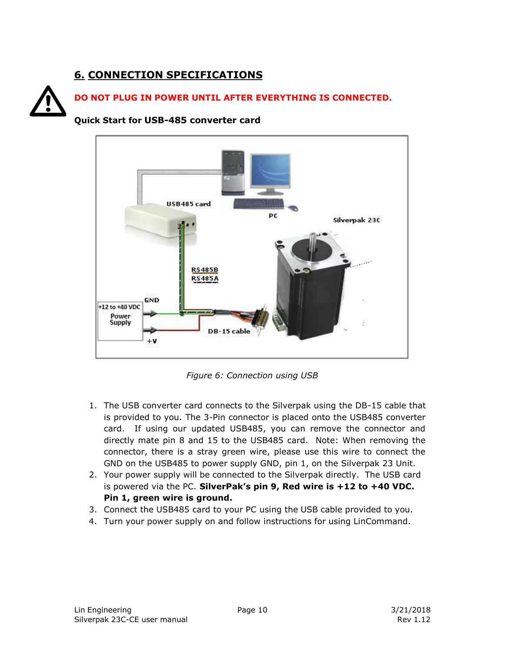### **6. CONNECTION SPECIFICATIONS**

<span id="page-9-1"></span><span id="page-9-0"></span>



*Figure 6: Connection using USB*

- 1. The USB converter card connects to the Silverpak using the DB-15 cable that is provided to you. The 3-Pin connector is placed onto the USB485 converter card. If using our updated USB485, you can remove the connector and directly mate pin 8 and 15 to the USB485 card. Note: When removing the connector, there is a stray green wire, please use this wire to connect the GND on the USB485 to power supply GND, pin 1, on the Silverpak 23 Unit.
- 2. Your power supply will be connected to the Silverpak directly. The USB card is powered via the PC. **SilverPak's pin 9, Red wire is +12 to +40 VDC. Pin 1, green wire is ground.**
- 3. Connect the USB485 card to your PC using the USB cable provided to you.
- 4. Turn your power supply on and follow instructions for using LinCommand.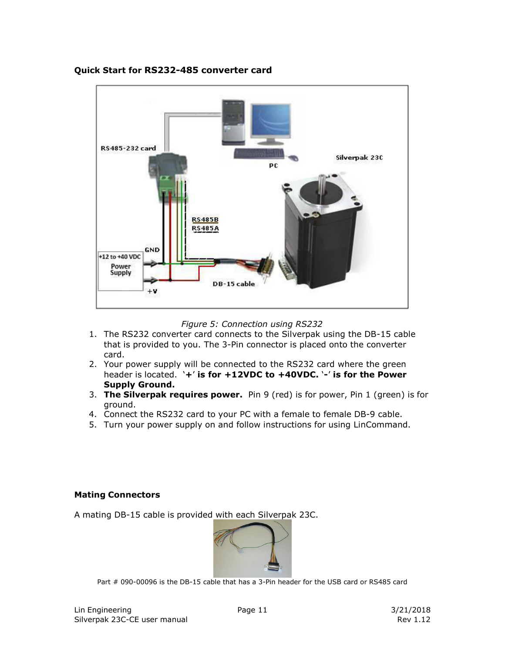

#### <span id="page-10-0"></span>**Quick Start for RS232-485 converter card**

*Figure 5: Connection using RS232* 

- 1. The RS232 converter card connects to the Silverpak using the DB-15 cable that is provided to you. The 3-Pin connector is placed onto the converter card.
- 2. Your power supply will be connected to the RS232 card where the green header is located. '**+**' **is for +12VDC to +40VDC.** '**-**' **is for the Power Supply Ground.**
- 3. **The Silverpak requires power.** Pin 9 (red) is for power, Pin 1 (green) is for ground.
- 4. Connect the RS232 card to your PC with a female to female DB-9 cable.
- 5. Turn your power supply on and follow instructions for using LinCommand.

#### <span id="page-10-1"></span>**Mating Connectors**

A mating DB-15 cable is provided with each Silverpak 23C.



Part # 090-00096 is the DB-15 cable that has a 3-Pin header for the USB card or RS485 card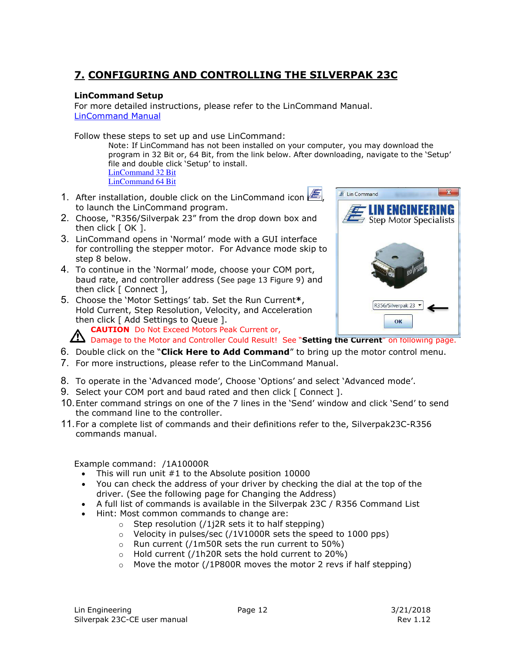### <span id="page-11-0"></span>**7. CONFIGURING AND CONTROLLING THE SILVERPAK 23C**

#### <span id="page-11-1"></span>**LinCommand Setup**

For more detailed instructions, please refer to the LinCommand Manual. [LinCommand Manual](http://www.linengineering.com/wp-content/uploads/downloads/Silverpak_23C/documentation/Lin_Command_Manual.pdf)

Follow these steps to set up and use LinCommand:

Note: If LinCommand has not been installed on your computer, you may download the program in 32 Bit or, 64 Bit, from the link below. After downloading, navigate to the 'Setup' file and double click 'Setup' to install. [LinCommand 32 Bit](http://www.linengineering.com/wp-content/uploads/downloads/R256/software/Lin-Command-32-bit.zip) 

 $\overline{\mathbf{E}}$  Lin Command

I ENGINEI Step Motor Specialists

R356/Silverpak 23  $\alpha$ 

- [LinCommand 64 Bit](http://www.linengineering.com/wp-content/uploads/downloads/R256/software/Lin-Command-64-bit.zip)
- 1. After installation, double click on the LinCommand icon  $\mathscr{E}$ to launch the LinCommand program.
- 2. Choose, "R356/Silverpak 23" from the drop down box and then click  $\lceil$  OK  $\rceil$ .
- 3. LinCommand opens in 'Normal' mode with a GUI interface for controlling the stepper motor. For Advance mode skip to step 8 below.
- 4. To continue in the 'Normal' mode, choose your COM port, baud rate, and controller address (See page 13 Figure 9) and then click [ Connect ],
- 5. Choose the 'Motor Settings' tab. Set the Run Current**\***, Hold Current, Step Resolution, Velocity, and Acceleration then click [ Add Settings to Queue ].

**CAUTION** Do Not Exceed Motors Peak Current or,

Damage to the Motor and Controller Could Result! See "**Setting the Current**" on following page.

- 6. Double click on the "**Click Here to Add Command**" to bring up the motor control menu.
- 7. For more instructions, please refer to the LinCommand Manual.
- 8. To operate in the 'Advanced mode', Choose 'Options' and select 'Advanced mode'.
- 9. Select your COM port and baud rated and then click [ Connect ].
- 10.Enter command strings on one of the 7 lines in the 'Send' window and click 'Send' to send the command line to the controller.
- 11.For a complete list of commands and their definitions refer to the, Silverpak23C-R356 commands manual.

Example command: /1A10000R

- This will run unit #1 to the Absolute position 10000
- You can check the address of your driver by checking the dial at the top of the driver. (See the following page for Changing the Address)
- A full list of commands is available in the Silverpak 23C / R356 Command List
- Hint: Most common commands to change are:
	- $\circ$  Step resolution (/1j2R sets it to half stepping)
	- o Velocity in pulses/sec (/1V1000R sets the speed to 1000 pps)
	- o Run current (/1m50R sets the run current to 50%)
	- o Hold current (/1h20R sets the hold current to 20%)
	- $\circ$  Move the motor (/1P800R moves the motor 2 revs if half stepping)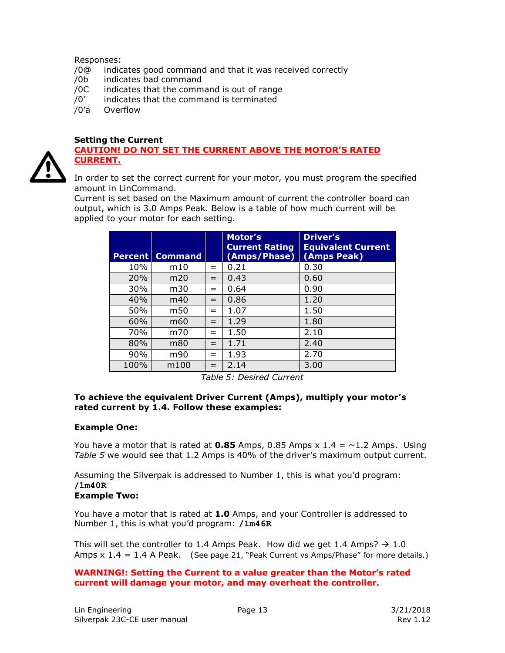#### Responses:

- /0@ indicates good command and that it was received correctly
- /0b indicates bad command
- /0C indicates that the command is out of range
- /0' indicates that the command is terminated
- /0'a Overflow

#### <span id="page-12-0"></span>**Setting the Current**

#### **CAUTION! DO NOT SET THE CURRENT ABOVE THE MOTOR'S RATED CURRENT.**

In order to set the correct current for your motor, you must program the specified amount in LinCommand.

Current is set based on the Maximum amount of current the controller board can output, which is 3.0 Amps Peak. Below is a table of how much current will be applied to your motor for each setting.

|      | <b>Percent Command</b> |     | Motor's<br><b>Current Rating</b><br>(Amps/Phase) | <b>Driver's</b><br><b>Equivalent Current</b><br>(Amps Peak) |
|------|------------------------|-----|--------------------------------------------------|-------------------------------------------------------------|
| 10%  | m10                    | $=$ | 0.21                                             | 0.30                                                        |
| 20%  | m20                    | $=$ | 0.43                                             | 0.60                                                        |
| 30%  | m30                    | =   | 0.64                                             | 0.90                                                        |
| 40%  | m40                    | $=$ | 0.86                                             | 1.20                                                        |
| 50%  | m <sub>50</sub>        | =   | 1.07                                             | 1.50                                                        |
| 60%  | m60                    | $=$ | 1.29                                             | 1.80                                                        |
| 70%  | m70                    | $=$ | 1.50                                             | 2.10                                                        |
| 80%  | m80                    | $=$ | 1.71                                             | 2.40                                                        |
| 90%  | m90                    | $=$ | 1.93                                             | 2.70                                                        |
| 100% | m100                   | $=$ | 2.14                                             | 3.00                                                        |

*Table 5: Desired Current* 

#### **To achieve the equivalent Driver Current (Amps), multiply your motor's rated current by 1.4. Follow these examples:**

#### **Example One:**

You have a motor that is rated at **0.85** Amps, 0.85 Amps  $\times$  1.4 =  $\sim$  1.2 Amps. Using *Table 5* we would see that 1.2 Amps is 40% of the driver's maximum output current.

Assuming the Silverpak is addressed to Number 1, this is what you'd program: **/1m40R**

#### **Example Two:**

You have a motor that is rated at **1.0** Amps, and your Controller is addressed to Number 1, this is what you'd program: **/1m46R**

This will set the controller to 1.4 Amps Peak. How did we get 1.4 Amps?  $\rightarrow$  1.0 Amps  $x$  1.4 = 1.4 A Peak. (See page 21, "Peak Current vs Amps/Phase" for more details.)

#### **WARNING!: Setting the Current to a value greater than the Motor's rated current will damage your motor, and may overheat the controller.**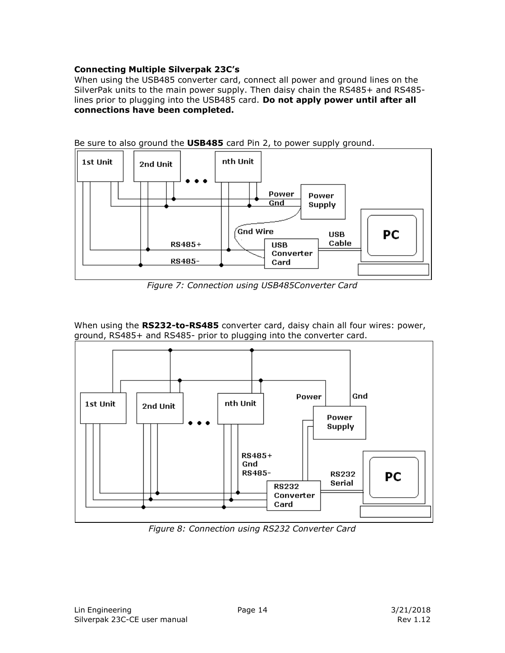#### <span id="page-13-0"></span>**Connecting Multiple Silverpak 23C's**

When using the USB485 converter card, connect all power and ground lines on the SilverPak units to the main power supply. Then daisy chain the RS485+ and RS485 lines prior to plugging into the USB485 card. **Do not apply power until after all connections have been completed.** 



Be sure to also ground the **USB485** card Pin 2, to power supply ground.

*Figure 7: Connection using USB485Converter Card* 

When using the **RS232-to-RS485** converter card, daisy chain all four wires: power, ground, RS485+ and RS485- prior to plugging into the converter card.



*Figure 8: Connection using RS232 Converter Card*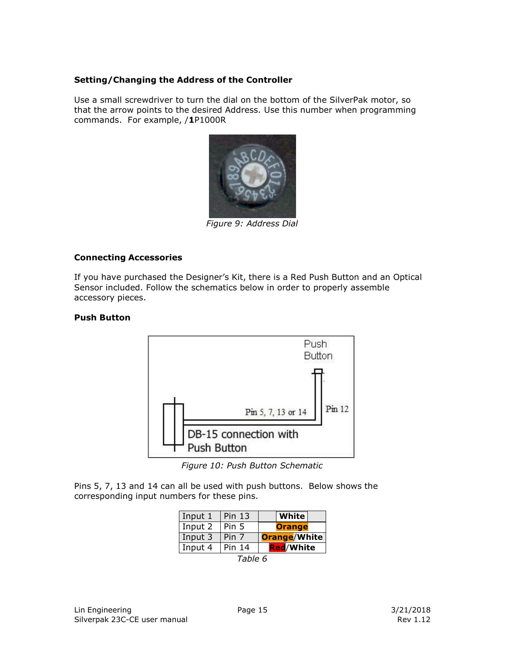#### <span id="page-14-0"></span>**Setting/Changing the Address of the Controller**

Use a small screwdriver to turn the dial on the bottom of the SilverPak motor, so that the arrow points to the desired Address. Use this number when programming commands. For example, /**1**P1000R



*Figure 9: Address Dial* 

#### <span id="page-14-1"></span>**Connecting Accessories**

If you have purchased the Designer's Kit, there is a Red Push Button and an Optical Sensor included. Follow the schematics below in order to properly assemble accessory pieces.

#### **Push Button**



*Figure 10: Push Button Schematic* 

Pins 5, 7, 13 and 14 can all be used with push buttons. Below shows the corresponding input numbers for these pins.

| Input 1 | <b>Pin 13</b> | White               |  |  |
|---------|---------------|---------------------|--|--|
| Input 2 | Pin 5         | <b>Orange</b>       |  |  |
| Input 3 | Pin 7         | <b>Orange/White</b> |  |  |
| Input 4 | Pin 14        | <b>Red/White</b>    |  |  |
| Table 6 |               |                     |  |  |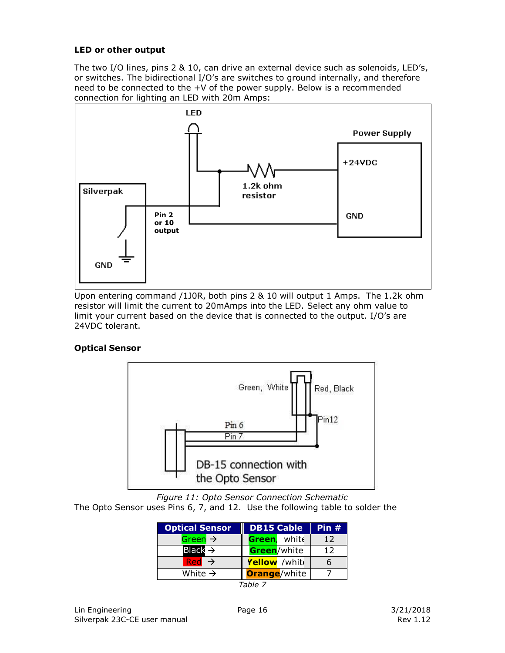#### **LED or other output**

The two I/O lines, pins 2 & 10, can drive an external device such as solenoids, LED's, or switches. The bidirectional I/O's are switches to ground internally, and therefore need to be connected to the +V of the power supply. Below is a recommended connection for lighting an LED with 20m Amps:



Upon entering command /1J0R, both pins 2 & 10 will output 1 Amps. The 1.2k ohm resistor will limit the current to 20mAmps into the LED. Select any ohm value to limit your current based on the device that is connected to the output. I/O's are 24VDC tolerant.

#### **Optical Sensor**



*Figure 11: Opto Sensor Connection Schematic* 

The Opto Sensor uses Pins 6, 7, and 12. Use the following table to solder the

| <b>Optical Sensor</b> | <b>DB15 Cable</b>    | Pin $#$ |
|-----------------------|----------------------|---------|
| Green $\rightarrow$   | Green, white         | 12      |
| Black $\Rightarrow$   | Green/white          | 12      |
| $Red \rightarrow$     | Yellow /white        | 6       |
| White $\rightarrow$   | <b>Orange</b> /white |         |

*Table 7*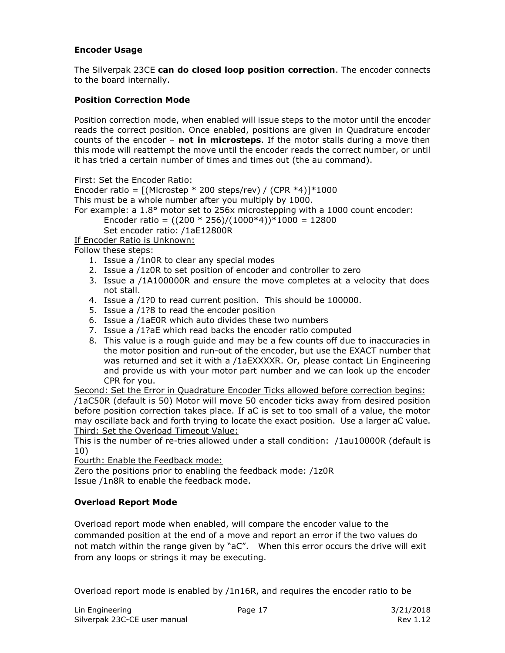#### **Encoder Usage**

The Silverpak 23CE **can do closed loop position correction**. The encoder connects to the board internally.

#### **Position Correction Mode**

Position correction mode, when enabled will issue steps to the motor until the encoder reads the correct position. Once enabled, positions are given in Quadrature encoder counts of the encoder – **not in microsteps**. If the motor stalls during a move then this mode will reattempt the move until the encoder reads the correct number, or until it has tried a certain number of times and times out (the au command).

First: Set the Encoder Ratio:

Encoder ratio =  $[(Microstep * 200 steps/rev) / (CPR * 4)] * 1000$ This must be a whole number after you multiply by 1000. For example: a 1.8° motor set to 256x microstepping with a 1000 count encoder: Encoder ratio =  $((200 * 256)/(1000 * 4))*1000 = 12800$ Set encoder ratio: /1aE12800R

If Encoder Ratio is Unknown:

Follow these steps:

- 1. Issue a /1n0R to clear any special modes
- 2. Issue a /1z0R to set position of encoder and controller to zero
- 3. Issue a /1A100000R and ensure the move completes at a velocity that does not stall.
- 4. Issue a /1?0 to read current position. This should be 100000.
- 5. Issue a /1?8 to read the encoder position
- 6. Issue a /1aE0R which auto divides these two numbers
- 7. Issue a /1?aE which read backs the encoder ratio computed
- 8. This value is a rough guide and may be a few counts off due to inaccuracies in the motor position and run-out of the encoder, but use the EXACT number that was returned and set it with a /1aEXXXXR. Or, please contact Lin Engineering and provide us with your motor part number and we can look up the encoder CPR for you.

Second: Set the Error in Quadrature Encoder Ticks allowed before correction begins: /1aC50R (default is 50) Motor will move 50 encoder ticks away from desired position before position correction takes place. If aC is set to too small of a value, the motor may oscillate back and forth trying to locate the exact position. Use a larger aC value. Third: Set the Overload Timeout Value:

This is the number of re-tries allowed under a stall condition: /1au10000R (default is 10)

Fourth: Enable the Feedback mode:

Zero the positions prior to enabling the feedback mode: /1z0R Issue /1n8R to enable the feedback mode.

#### **Overload Report Mode**

Overload report mode when enabled, will compare the encoder value to the commanded position at the end of a move and report an error if the two values do not match within the range given by "aC". When this error occurs the drive will exit from any loops or strings it may be executing.

Overload report mode is enabled by /1n16R, and requires the encoder ratio to be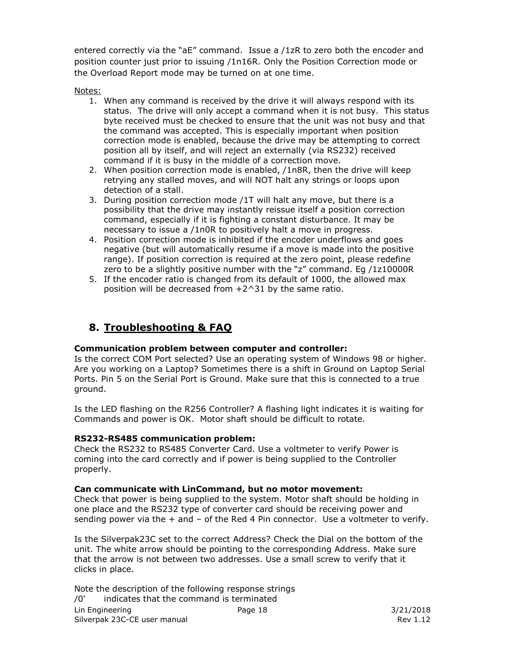entered correctly via the "aE" command. Issue a /1zR to zero both the encoder and position counter just prior to issuing /1n16R. Only the Position Correction mode or the Overload Report mode may be turned on at one time.

Notes:

- 1. When any command is received by the drive it will always respond with its status. The drive will only accept a command when it is not busy. This status byte received must be checked to ensure that the unit was not busy and that the command was accepted. This is especially important when position correction mode is enabled, because the drive may be attempting to correct position all by itself, and will reject an externally (via RS232) received command if it is busy in the middle of a correction move.
- 2. When position correction mode is enabled, /1n8R, then the drive will keep retrying any stalled moves, and will NOT halt any strings or loops upon detection of a stall.
- 3. During position correction mode /1T will halt any move, but there is a possibility that the drive may instantly reissue itself a position correction command, especially if it is fighting a constant disturbance. It may be necessary to issue a /1n0R to positively halt a move in progress.
- 4. Position correction mode is inhibited if the encoder underflows and goes negative (but will automatically resume if a move is made into the positive range). If position correction is required at the zero point, please redefine zero to be a slightly positive number with the "z" command. Eg /1z10000R
- 5. If the encoder ratio is changed from its default of 1000, the allowed max position will be decreased from  $+2^{\wedge}31$  by the same ratio.

### **8. Troubleshooting & FAQ**

#### <span id="page-17-0"></span>**Communication problem between computer and controller:**

Is the correct COM Port selected? Use an operating system of Windows 98 or higher. Are you working on a Laptop? Sometimes there is a shift in Ground on Laptop Serial Ports. Pin 5 on the Serial Port is Ground. Make sure that this is connected to a true ground.

Is the LED flashing on the R256 Controller? A flashing light indicates it is waiting for Commands and power is OK. Motor shaft should be difficult to rotate.

#### **RS232-RS485 communication problem:**

Check the RS232 to RS485 Converter Card. Use a voltmeter to verify Power is coming into the card correctly and if power is being supplied to the Controller properly.

#### **Can communicate with LinCommand, but no motor movement:**

Check that power is being supplied to the system. Motor shaft should be holding in one place and the RS232 type of converter card should be receiving power and sending power via the  $+$  and  $-$  of the Red 4 Pin connector. Use a voltmeter to verify.

Is the Silverpak23C set to the correct Address? Check the Dial on the bottom of the unit. The white arrow should be pointing to the corresponding Address. Make sure that the arrow is not between two addresses. Use a small screw to verify that it clicks in place.

Lin Engineering Silverpak 23C-CE user manual Page 18 3/21/2018 Note the description of the following response strings /0' indicates that the command is terminated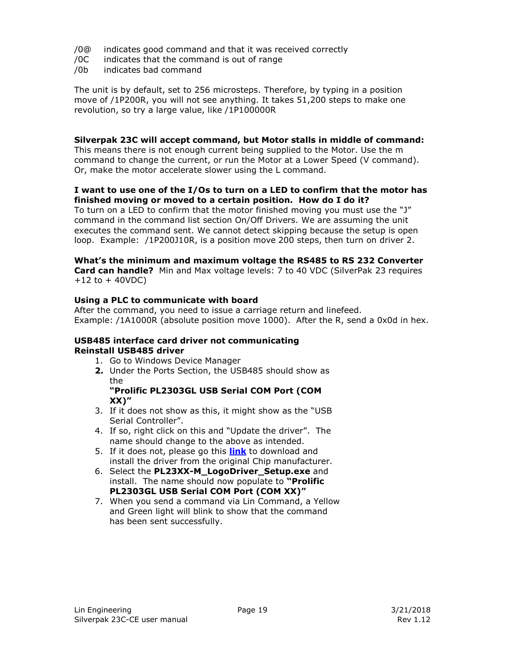- /0@ indicates good command and that it was received correctly
- /0C indicates that the command is out of range
- /0b indicates bad command

The unit is by default, set to 256 microsteps. Therefore, by typing in a position move of /1P200R, you will not see anything. It takes 51,200 steps to make one revolution, so try a large value, like /1P100000R

#### **Silverpak 23C will accept command, but Motor stalls in middle of command:**

This means there is not enough current being supplied to the Motor. Use the m command to change the current, or run the Motor at a Lower Speed (V command). Or, make the motor accelerate slower using the L command.

#### **I want to use one of the I/Os to turn on a LED to confirm that the motor has finished moving or moved to a certain position. How do I do it?**

To turn on a LED to confirm that the motor finished moving you must use the "J" command in the command list section On/Off Drivers. We are assuming the unit executes the command sent. We cannot detect skipping because the setup is open loop. Example: /1P200J10R, is a position move 200 steps, then turn on driver 2.

#### **What's the minimum and maximum voltage the RS485 to RS 232 Converter**

**Card can handle?** Min and Max voltage levels: 7 to 40 VDC (SilverPak 23 requires  $+12$  to  $+40$ VDC)

#### **Using a PLC to communicate with board**

After the command, you need to issue a carriage return and linefeed. Example: /1A1000R (absolute position move 1000). After the R, send a 0x0d in hex.

#### **USB485 interface card driver not communicating Reinstall USB485 driver**

- 1. Go to Windows Device Manager
- **2.** Under the Ports Section, the USB485 should show as the

#### **"Prolific PL2303GL USB Serial COM Port (COM XX)"**

- 3. If it does not show as this, it might show as the "USB Serial Controller".
- 4. If so, right click on this and "Update the driver". The name should change to the above as intended.
- 5. If it does not, please go this **[link](https://prolificusa.com/product/pl2303gl-8-pin-usb-uart-bridge-controller/)** to download and install the driver from the original Chip manufacturer.
- 6. Select the **PL23XX-M\_LogoDriver\_Setup.exe** and install. The name should now populate to **"Prolific PL2303GL USB Serial COM Port (COM XX)"**
- 7. When you send a command via Lin Command, a Yellow and Green light will blink to show that the command has been sent successfully.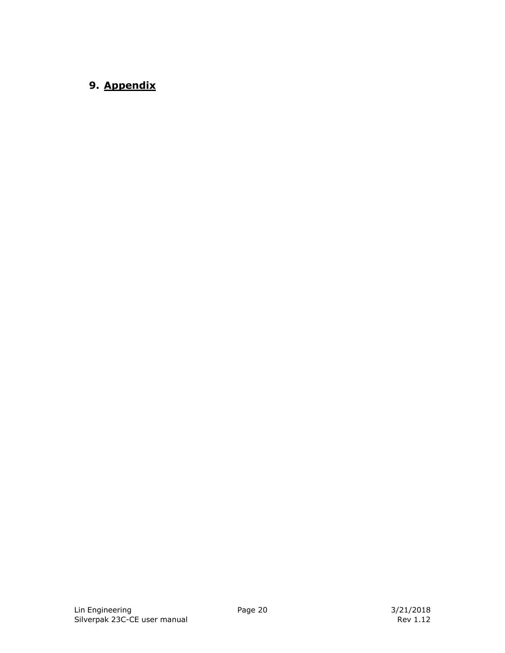### <span id="page-19-0"></span>**9. Appendix**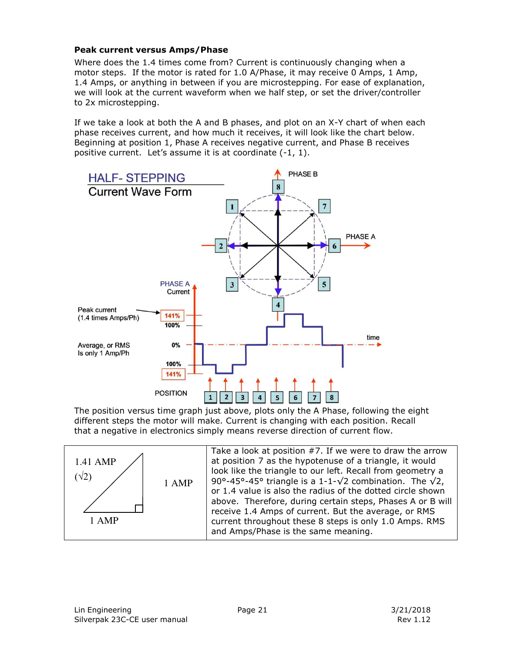#### <span id="page-20-0"></span>**Peak current versus Amps/Phase**

Where does the 1.4 times come from? Current is continuously changing when a motor steps. If the motor is rated for 1.0 A/Phase, it may receive 0 Amps, 1 Amp, 1.4 Amps, or anything in between if you are microstepping. For ease of explanation, we will look at the current waveform when we half step, or set the driver/controller to 2x microstepping.

If we take a look at both the A and B phases, and plot on an X-Y chart of when each phase receives current, and how much it receives, it will look like the chart below. Beginning at position 1, Phase A receives negative current, and Phase B receives positive current. Let's assume it is at coordinate (-1, 1).



The position versus time graph just above, plots only the A Phase, following the eight different steps the motor will make. Current is changing with each position. Recall that a negative in electronics simply means reverse direction of current flow.



Take a look at position #7. If we were to draw the arrow at position 7 as the hypotenuse of a triangle, it would look like the triangle to our left. Recall from geometry a 90°-45°-45° triangle is a 1-1- $\sqrt{2}$  combination. The  $\sqrt{2}$ , or 1.4 value is also the radius of the dotted circle shown above. Therefore, during certain steps, Phases A or B will receive 1.4 Amps of current. But the average, or RMS current throughout these 8 steps is only 1.0 Amps. RMS and Amps/Phase is the same meaning.